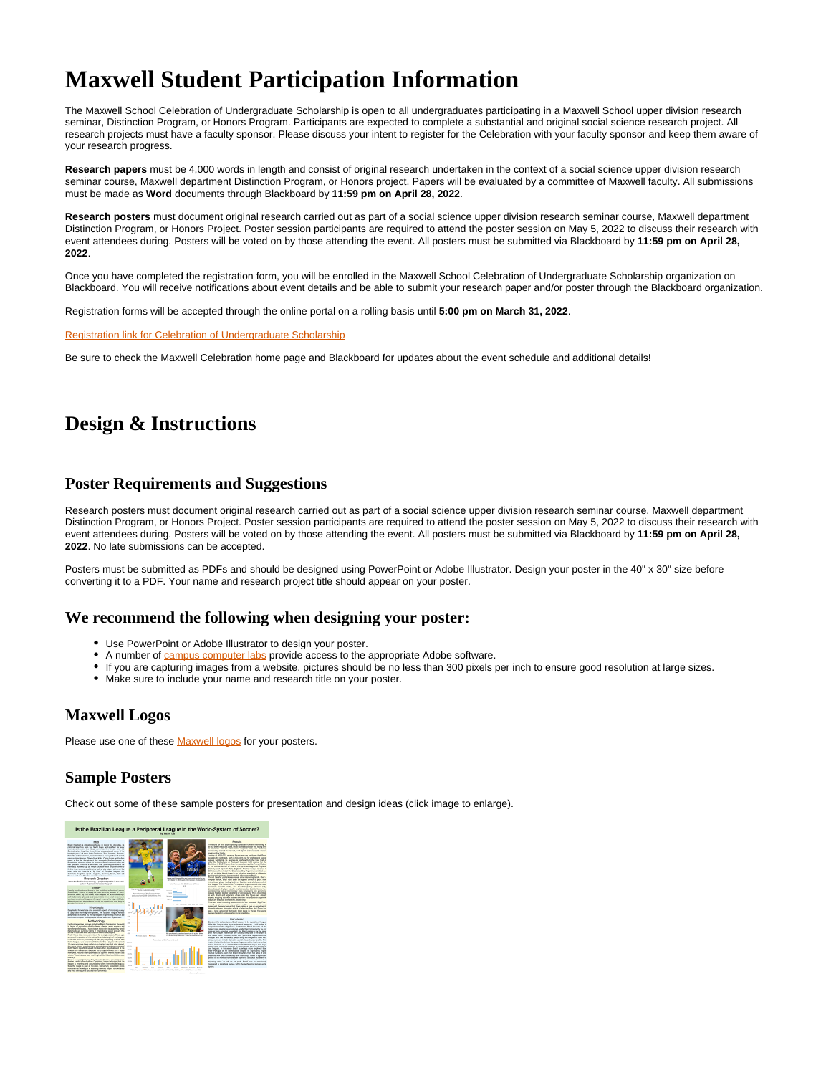# **Maxwell Student Participation Information**

The Maxwell School Celebration of Undergraduate Scholarship is open to all undergraduates participating in a Maxwell School upper division research seminar, Distinction Program, or Honors Program. Participants are expected to complete a substantial and original social science research project. All research projects must have a faculty sponsor. Please discuss your intent to register for the Celebration with your faculty sponsor and keep them aware of your research progress.

**Research papers** must be 4,000 words in length and consist of original research undertaken in the context of a social science upper division research seminar course, Maxwell department Distinction Program, or Honors project. Papers will be evaluated by a committee of Maxwell faculty. All submissions must be made as **Word** documents through Blackboard by **11:59 pm on April 28, 2022**.

**Research posters** must document original research carried out as part of a social science upper division research seminar course, Maxwell department Distinction Program, or Honors Project. Poster session participants are required to attend the poster session on May 5, 2022 to discuss their research with event attendees during. Posters will be voted on by those attending the event. All posters must be submitted via Blackboard by **11:59 pm on April 28, 2022**.

Once you have completed the registration form, you will be enrolled in the Maxwell School Celebration of Undergraduate Scholarship organization on Blackboard. You will receive notifications about event details and be able to submit your research paper and/or poster through the Blackboard organization.

Registration forms will be accepted through the online portal on a rolling basis until **5:00 pm on March 31, 2022**.

[Registration link for Celebration of Undergraduate Scholarship](https://syracuseuniversity.qualtrics.com/jfe/form/SV_3VFYOgIhbzd4K7s)

Be sure to check the Maxwell Celebration home page and Blackboard for updates about the event schedule and additional details!

## **Design & Instructions**

#### **Poster Requirements and Suggestions**

Research posters must document original research carried out as part of a social science upper division research seminar course, Maxwell department Distinction Program, or Honors Project. Poster session participants are required to attend the poster session on May 5, 2022 to discuss their research with event attendees during. Posters will be voted on by those attending the event. All posters must be submitted via Blackboard by **11:59 pm on April 28, 2022**. No late submissions can be accepted.

Posters must be submitted as PDFs and should be designed using PowerPoint or Adobe Illustrator. Design your poster in the 40" x 30" size before converting it to a PDF. Your name and research project title should appear on your poster.

#### **We recommend the following when designing your poster:**

- Use PowerPoint or Adobe Illustrator to design your poster.
- A number of [campus computer labs](https://answers.syr.edu/display/ITHELP/ITS+Computer+Labs) provide access to the appropriate Adobe software.
- If you are capturing images from a website, pictures should be no less than 300 pixels per inch to ensure good resolution at large sizes.
- Make sure to include your name and research title on your poster.

#### **Maxwell Logos**

Please use one of these **[Maxwell logos](https://answers.syr.edu/pages/viewpage.action?pageId=105095954)** for your posters.

### **Sample Posters**

Check out some of these sample posters for presentation and design ideas (click image to enlarge).